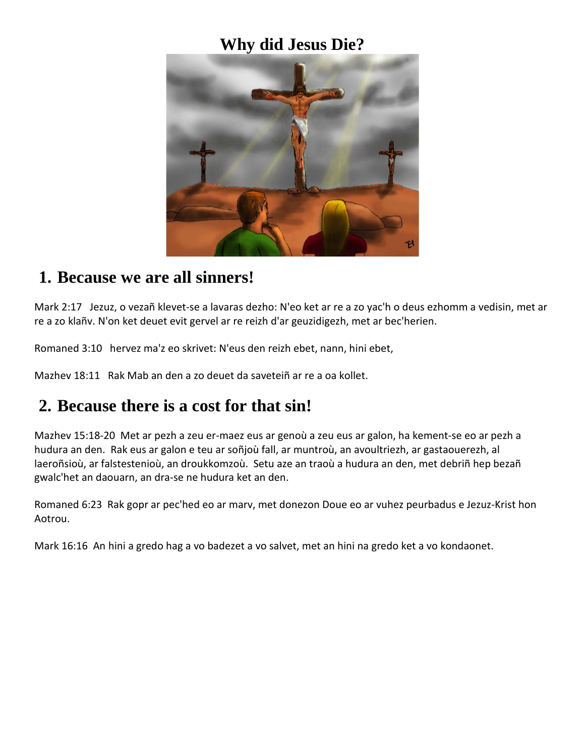#### **Why did Jesus Die?**



#### **1. Because we are all sinners!**

Mark 2:17 Jezuz, o vezañ klevet-se a lavaras dezho: N'eo ket ar re a zo yac'h o deus ezhomm a vedisin, met ar re a zo klañv. N'on ket deuet evit gervel ar re reizh d'ar geuzidigezh, met ar bec'herien.

Romaned 3:10 hervez ma'z eo skrivet: N'eus den reizh ebet, nann, hini ebet,

Mazhev 18:11 Rak Mab an den a zo deuet da saveteiñ ar re a oa kollet.

### **2. Because there is a cost for that sin!**

Mazhev 15:18-20 Met ar pezh a zeu er-maez eus ar genoù a zeu eus ar galon, ha kement-se eo ar pezh a hudura an den. Rak eus ar galon e teu ar soñjoù fall, ar muntroù, an avoultriezh, ar gastaouerezh, al laeroñsioù, ar falstestenioù, an droukkomzoù. Setu aze an traoù a hudura an den, met debriñ hep bezañ gwalc'het an daouarn, an dra-se ne hudura ket an den.

Romaned 6:23 Rak gopr ar pec'hed eo ar marv, met donezon Doue eo ar vuhez peurbadus e Jezuz-Krist hon Aotrou.

Mark 16:16 An hini a gredo hag a vo badezet a vo salvet, met an hini na gredo ket a vo kondaonet.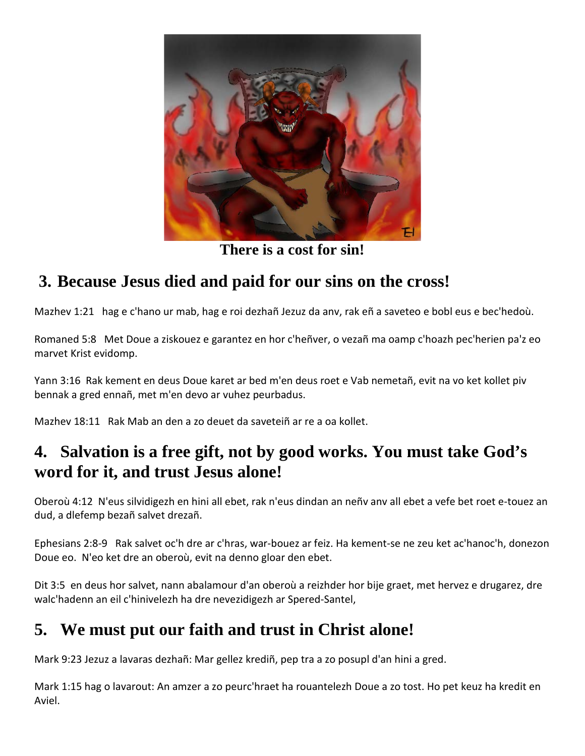

**There is a cost for sin!**

# **3. Because Jesus died and paid for our sins on the cross!**

Mazhev 1:21 hag e c'hano ur mab, hag e roi dezhañ Jezuz da anv, rak eñ a saveteo e bobl eus e bec'hedoù.

Romaned 5:8 Met Doue a ziskouez e garantez en hor c'heñver, o vezañ ma oamp c'hoazh pec'herien pa'z eo marvet Krist evidomp.

Yann 3:16 Rak kement en deus Doue karet ar bed m'en deus roet e Vab nemetañ, evit na vo ket kollet piv bennak a gred ennañ, met m'en devo ar vuhez peurbadus.

Mazhev 18:11 Rak Mab an den a zo deuet da saveteiñ ar re a oa kollet.

## **4. Salvation is a free gift, not by good works. You must take God's word for it, and trust Jesus alone!**

Oberoù 4:12 N'eus silvidigezh en hini all ebet, rak n'eus dindan an neñv anv all ebet a vefe bet roet e-touez an dud, a dlefemp bezañ salvet drezañ.

Ephesians 2:8-9 Rak salvet oc'h dre ar c'hras, war-bouez ar feiz. Ha kement-se ne zeu ket ac'hanoc'h, donezon Doue eo. N'eo ket dre an oberoù, evit na denno gloar den ebet.

Dit 3:5 en deus hor salvet, nann abalamour d'an oberoù a reizhder hor bije graet, met hervez e drugarez, dre walc'hadenn an eil c'hinivelezh ha dre nevezidigezh ar Spered-Santel,

# **5. We must put our faith and trust in Christ alone!**

Mark 9:23 Jezuz a lavaras dezhañ: Mar gellez krediñ, pep tra a zo posupl d'an hini a gred.

Mark 1:15 hag o lavarout: An amzer a zo peurc'hraet ha rouantelezh Doue a zo tost. Ho pet keuz ha kredit en Aviel.